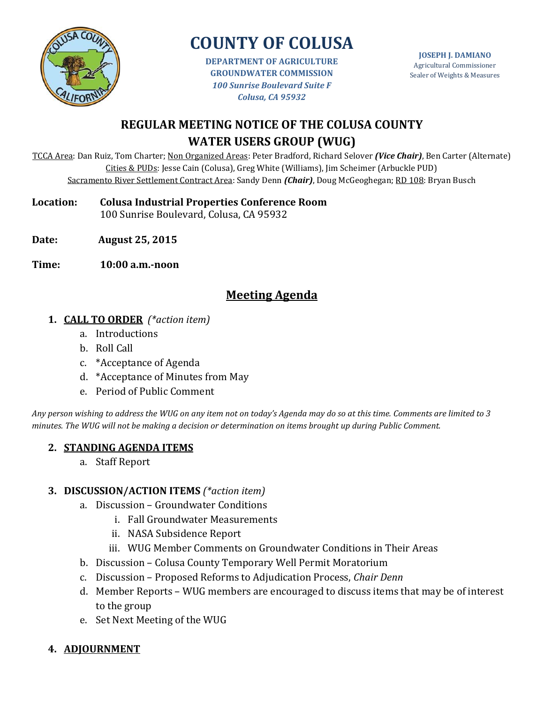

**DEPARTMENT OF AGRICULTURE GROUNDWATER COMMISSION** *100 Sunrise Boulevard Suite F Colusa, CA 95932*

**JOSEPH J. DAMIANO** Agricultural Commissioner Sealer of Weights & Measures

# **REGULAR MEETING NOTICE OF THE COLUSA COUNTY WATER USERS GROUP (WUG)**

TCCA Area: Dan Ruiz, Tom Charter; Non Organized Areas: Peter Bradford, Richard Selover *(Vice Chair)*, Ben Carter (Alternate) Cities & PUDs: Jesse Cain (Colusa), Greg White (Williams), Jim Scheimer (Arbuckle PUD) Sacramento River Settlement Contract Area: Sandy Denn *(Chair)*, Doug McGeoghegan; RD 108: Bryan Busch

**Location: Colusa Industrial Properties Conference Room**

100 Sunrise Boulevard, Colusa, CA 95932

- **Date: August 25, 2015**
- **Time: 10:00 a.m.-noon**

## **Meeting Agenda**

- **1. CALL TO ORDER** *(\*action item)*
	- a. Introductions
	- b. Roll Call
	- c. \*Acceptance of Agenda
	- d. \*Acceptance of Minutes from May
	- e. Period of Public Comment

*Any person wishing to address the WUG on any item not on today's Agenda may do so at this time. Comments are limited to 3 minutes. The WUG will not be making a decision or determination on items brought up during Public Comment.*

#### **2. STANDING AGENDA ITEMS**

a. Staff Report

#### **3. DISCUSSION/ACTION ITEMS** *(\*action item)*

- a. Discussion Groundwater Conditions
	- i. Fall Groundwater Measurements
	- ii. NASA Subsidence Report
	- iii. WUG Member Comments on Groundwater Conditions in Their Areas
- b. Discussion Colusa County Temporary Well Permit Moratorium
- c. Discussion Proposed Reforms to Adjudication Process, *Chair Denn*
- d. Member Reports WUG members are encouraged to discuss items that may be of interest to the group
- e. Set Next Meeting of the WUG

## **4. ADJOURNMENT**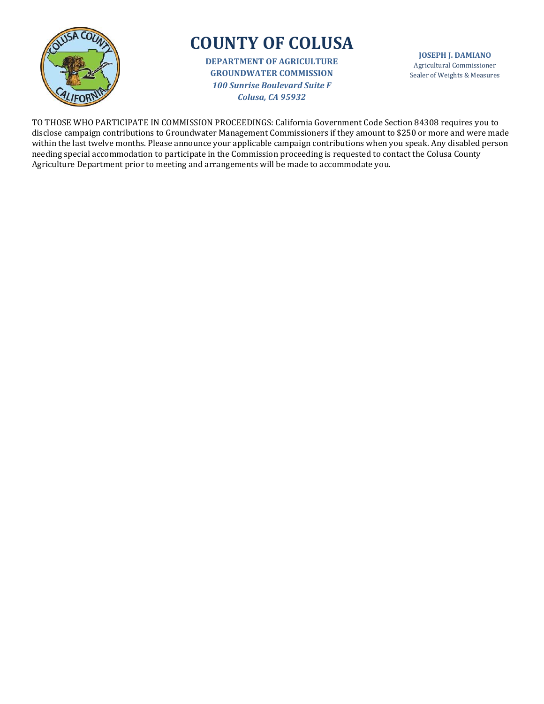

**DEPARTMENT OF AGRICULTURE GROUNDWATER COMMISSION** *100 Sunrise Boulevard Suite F Colusa, CA 95932*

**JOSEPH J. DAMIANO** Agricultural Commissioner Sealer of Weights & Measures

TO THOSE WHO PARTICIPATE IN COMMISSION PROCEEDINGS: California Government Code Section 84308 requires you to disclose campaign contributions to Groundwater Management Commissioners if they amount to \$250 or more and were made within the last twelve months. Please announce your applicable campaign contributions when you speak. Any disabled person needing special accommodation to participate in the Commission proceeding is requested to contact the Colusa County Agriculture Department prior to meeting and arrangements will be made to accommodate you.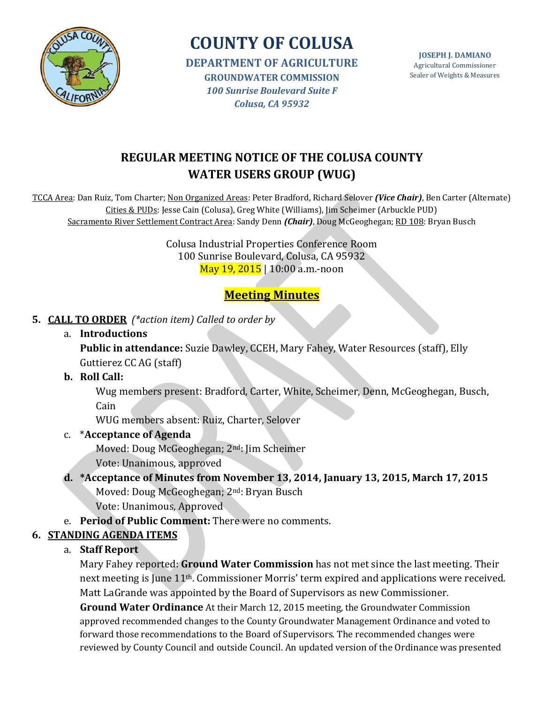

**DEPARTMENT OF AGRICULTURE GROUNDWATER COMMISSION** *100 Sunrise Boulevard Suite F Colusa, CA 95932*

**JOSEPH J. DAMIANO** Agricultural Commissioner Sealer of Weights & Measures

# **REGULAR MEETING NOTICE OF THE COLUSA COUNTY WATER USERS GROUP (WUG)**

TCCA Area: Dan Ruiz, Tom Charter; Non Organized Areas: Peter Bradford, Richard Selover *(Vice Chair)*, Ben Carter (Alternate) Cities & PUDs: Jesse Cain (Colusa), Greg White (Williams), Jim Scheimer (Arbuckle PUD) Sacramento River Settlement Contract Area: Sandy Denn *(Chair)*, Doug McGeoghegan; RD 108: Bryan Busch

> Colusa Industrial Properties Conference Room 100 Sunrise Boulevard, Colusa, CA 95932 May 19, 2015 | 10:00 a.m.-noon

# **Meeting Minutes**

## **5. CALL TO ORDER** *(\*action item) Called to order by*

a. **Introductions**

**Public in attendance:** Suzie Dawley, CCEH, Mary Fahey, Water Resources (staff), Elly Guttierez CC AG (staff)

**b. Roll Call:** 

Wug members present: Bradford, Carter, White, Scheimer, Denn, McGeoghegan, Busch, Cain

WUG members absent: Ruiz, Charter, Selover

### c. \***Acceptance of Agenda**

Moved: Doug McGeoghegan; 2nd: Jim Scheimer

Vote: Unanimous, approved

**d. \*Acceptance of Minutes from November 13, 2014, January 13, 2015, March 17, 2015** Moved: Doug McGeoghegan; 2nd: Bryan Busch

Vote: Unanimous, Approved

e. **Period of Public Comment:** There were no comments.

## **6. STANDING AGENDA ITEMS**

a. **Staff Report**

Mary Fahey reported: **Ground Water Commission** has not met since the last meeting. Their next meeting is June 11th. Commissioner Morris' term expired and applications were received. Matt LaGrande was appointed by the Board of Supervisors as new Commissioner.

**Ground Water Ordinance** At their March 12, 2015 meeting, the Groundwater Commission approved recommended changes to the County Groundwater Management Ordinance and voted to forward those recommendations to the Board of Supervisors. The recommended changes were reviewed by County Council and outside Council. An updated version of the Ordinance was presented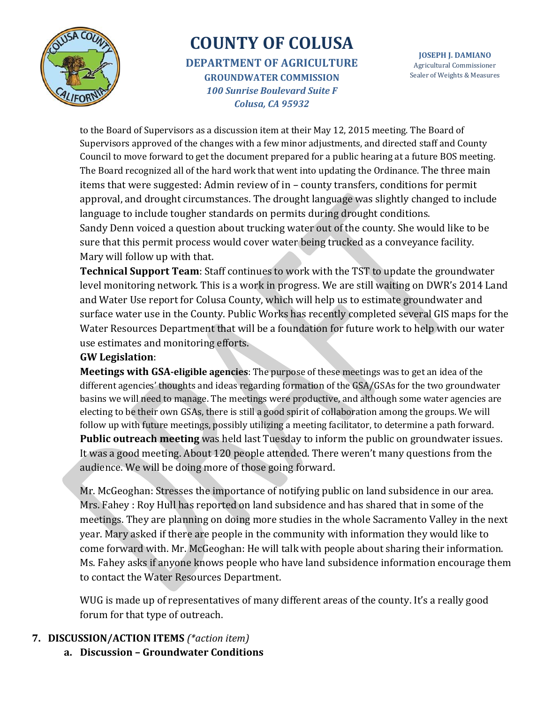

**DEPARTMENT OF AGRICULTURE GROUNDWATER COMMISSION** *100 Sunrise Boulevard Suite F Colusa, CA 95932*

**JOSEPH J. DAMIANO** Agricultural Commissioner Sealer of Weights & Measures

to the Board of Supervisors as a discussion item at their May 12, 2015 meeting. The Board of Supervisors approved of the changes with a few minor adjustments, and directed staff and County Council to move forward to get the document prepared for a public hearing at a future BOS meeting. The Board recognized all of the hard work that went into updating the Ordinance. The three main items that were suggested: Admin review of in – county transfers, conditions for permit approval, and drought circumstances. The drought language was slightly changed to include language to include tougher standards on permits during drought conditions. Sandy Denn voiced a question about trucking water out of the county. She would like to be sure that this permit process would cover water being trucked as a conveyance facility. Mary will follow up with that.

**Technical Support Team**: Staff continues to work with the TST to update the groundwater level monitoring network. This is a work in progress. We are still waiting on DWR's 2014 Land and Water Use report for Colusa County, which will help us to estimate groundwater and surface water use in the County. Public Works has recently completed several GIS maps for the Water Resources Department that will be a foundation for future work to help with our water use estimates and monitoring efforts.

#### **GW Legislation**:

**Meetings with GSA-eligible agencies**: The purpose of these meetings was to get an idea of the different agencies' thoughts and ideas regarding formation of the GSA/GSAs for the two groundwater basins we will need to manage. The meetings were productive, and although some water agencies are electing to be their own GSAs, there is still a good spirit of collaboration among the groups. We will follow up with future meetings, possibly utilizing a meeting facilitator, to determine a path forward. **Public outreach meeting** was held last Tuesday to inform the public on groundwater issues. It was a good meeting. About 120 people attended. There weren't many questions from the audience. We will be doing more of those going forward.

Mr. McGeoghan: Stresses the importance of notifying public on land subsidence in our area. Mrs. Fahey : Roy Hull has reported on land subsidence and has shared that in some of the meetings. They are planning on doing more studies in the whole Sacramento Valley in the next year. Mary asked if there are people in the community with information they would like to come forward with. Mr. McGeoghan: He will talk with people about sharing their information. Ms. Fahey asks if anyone knows people who have land subsidence information encourage them to contact the Water Resources Department.

WUG is made up of representatives of many different areas of the county. It's a really good forum for that type of outreach.

- **7. DISCUSSION/ACTION ITEMS** *(\*action item)*
	- **a. Discussion – Groundwater Conditions**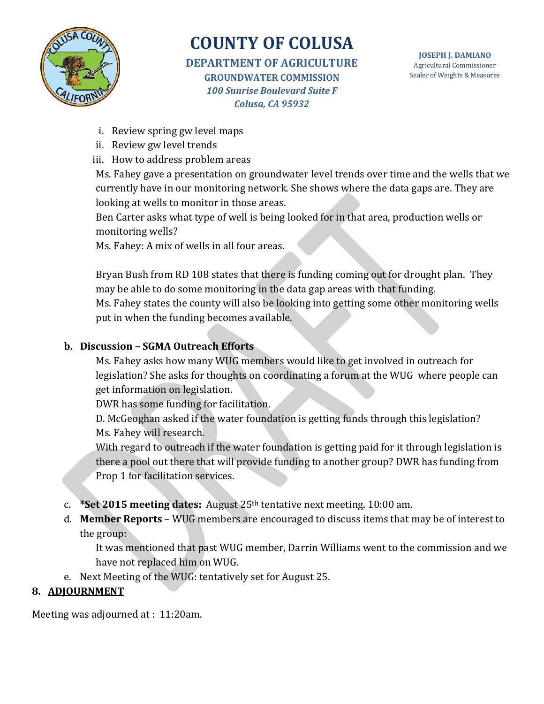

**DEPARTMENT OF AGRICULTURE GROUNDWATER COMMISSION** *100 Sunrise Boulevard Suite F Colusa, CA 95932*

- i. Review spring gw level maps
- ii. Review gw level trends
- iii. How to address problem areas

Ms. Fahey gave a presentation on groundwater level trends over time and the wells that we currently have in our monitoring network. She shows where the data gaps are. They are looking at wells to monitor in those areas.

Ben Carter asks what type of well is being looked for in that area, production wells or monitoring wells?

Ms. Fahey: A mix of wells in all four areas.

Bryan Bush from RD 108 states that there is funding coming out for drought plan. They may be able to do some monitoring in the data gap areas with that funding. Ms. Fahey states the county will also be looking into getting some other monitoring wells put in when the funding becomes available.

### **b. Discussion – SGMA Outreach Efforts**

Ms. Fahey asks how many WUG members would like to get involved in outreach for legislation? She asks for thoughts on coordinating a forum at the WUG where people can get information on legislation.

DWR has some funding for facilitation.

D. McGeoghan asked if the water foundation is getting funds through this legislation? Ms. Fahey will research.

With regard to outreach if the water foundation is getting paid for it through legislation is there a pool out there that will provide funding to another group? DWR has funding from Prop 1 for facilitation services.

- c. **\*Set 2015 meeting dates:** August 25th tentative next meeting. 10:00 am.
- d. **Member Reports** WUG members are encouraged to discuss items that may be of interest to the group:

It was mentioned that past WUG member, Darrin Williams went to the commission and we have not replaced him on WUG.

e. Next Meeting of the WUG: tentatively set for August 25.

### **8. ADJOURNMENT**

Meeting was adjourned at : 11:20am.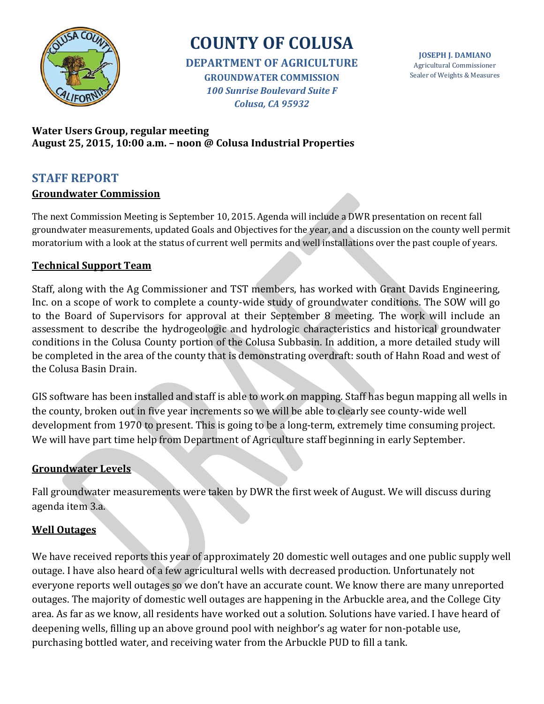

**DEPARTMENT OF AGRICULTURE GROUNDWATER COMMISSION** *100 Sunrise Boulevard Suite F Colusa, CA 95932*

**JOSEPH J. DAMIANO** Agricultural Commissioner Sealer of Weights & Measures

#### **Water Users Group, regular meeting August 25, 2015, 10:00 a.m. – noon @ Colusa Industrial Properties**

#### **STAFF REPORT Groundwater Commission**

The next Commission Meeting is September 10, 2015. Agenda will include a DWR presentation on recent fall groundwater measurements, updated Goals and Objectives for the year, and a discussion on the county well permit moratorium with a look at the status of current well permits and well installations over the past couple of years.

### **Technical Support Team**

Staff, along with the Ag Commissioner and TST members, has worked with Grant Davids Engineering, Inc. on a scope of work to complete a county-wide study of groundwater conditions. The SOW will go to the Board of Supervisors for approval at their September 8 meeting. The work will include an assessment to describe the hydrogeologic and hydrologic characteristics and historical groundwater conditions in the Colusa County portion of the Colusa Subbasin. In addition, a more detailed study will be completed in the area of the county that is demonstrating overdraft: south of Hahn Road and west of the Colusa Basin Drain.

GIS software has been installed and staff is able to work on mapping. Staff has begun mapping all wells in the county, broken out in five year increments so we will be able to clearly see county-wide well development from 1970 to present. This is going to be a long-term, extremely time consuming project. We will have part time help from Department of Agriculture staff beginning in early September.

### **Groundwater Levels**

Fall groundwater measurements were taken by DWR the first week of August. We will discuss during agenda item 3.a.

#### **Well Outages**

We have received reports this year of approximately 20 domestic well outages and one public supply well outage. I have also heard of a few agricultural wells with decreased production. Unfortunately not everyone reports well outages so we don't have an accurate count. We know there are many unreported outages. The majority of domestic well outages are happening in the Arbuckle area, and the College City area. As far as we know, all residents have worked out a solution. Solutions have varied. I have heard of deepening wells, filling up an above ground pool with neighbor's ag water for non-potable use, purchasing bottled water, and receiving water from the Arbuckle PUD to fill a tank.